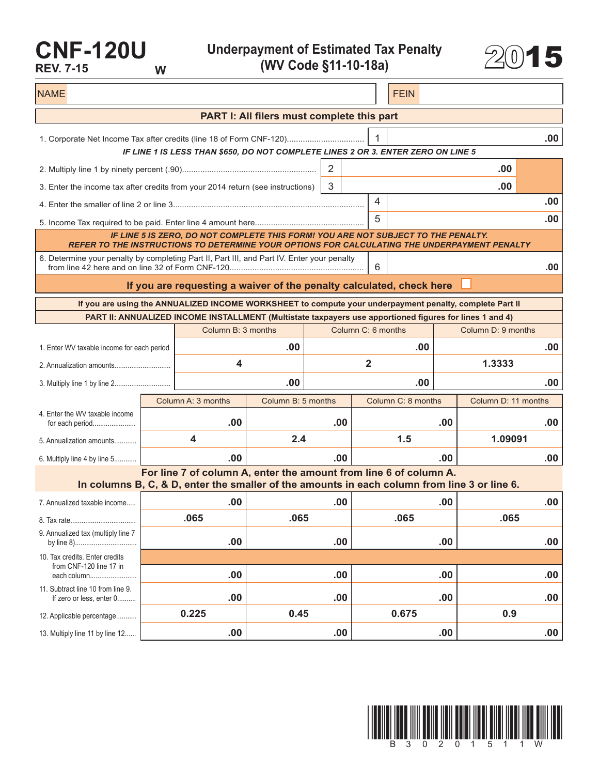## **CNF-120U REV. 7-15 W**

**Underpayment of Estimated Tax Penalty (WV Code §11-10-18a)** 2015



| <b>NAME</b>                                                                                                                                                                                            |       |                                                                                                                                                                   |                    |     |                         |     | <b>FEIN</b>        |     |                     |  |      |
|--------------------------------------------------------------------------------------------------------------------------------------------------------------------------------------------------------|-------|-------------------------------------------------------------------------------------------------------------------------------------------------------------------|--------------------|-----|-------------------------|-----|--------------------|-----|---------------------|--|------|
| PART I: All filers must complete this part                                                                                                                                                             |       |                                                                                                                                                                   |                    |     |                         |     |                    |     |                     |  |      |
| 1. Corporate Net Income Tax after credits (line 18 of Form CNF-120)<br>IF LINE 1 IS LESS THAN \$650, DO NOT COMPLETE LINES 2 OR 3. ENTER ZERO ON LINE 5                                                |       |                                                                                                                                                                   |                    |     |                         |     | .00                |     |                     |  |      |
| 2                                                                                                                                                                                                      |       |                                                                                                                                                                   |                    |     |                         |     |                    |     | .00                 |  |      |
| 3. Enter the income tax after credits from your 2014 return (see instructions)                                                                                                                         |       | 3                                                                                                                                                                 |                    |     |                         | .00 |                    |     |                     |  |      |
|                                                                                                                                                                                                        |       |                                                                                                                                                                   |                    | 4   |                         |     |                    |     | .00                 |  |      |
|                                                                                                                                                                                                        |       |                                                                                                                                                                   |                    |     |                         | 5   |                    |     |                     |  | .00  |
| IF LINE 5 IS ZERO, DO NOT COMPLETE THIS FORM! YOU ARE NOT SUBJECT TO THE PENALTY.                                                                                                                      |       |                                                                                                                                                                   |                    |     |                         |     |                    |     |                     |  |      |
| REFER TO THE INSTRUCTIONS TO DETERMINE YOUR OPTIONS FOR CALCULATING THE UNDERPAYMENT PENALTY<br>6. Determine your penalty by completing Part II, Part III, and Part IV. Enter your penalty<br>6<br>.00 |       |                                                                                                                                                                   |                    |     |                         |     |                    |     |                     |  |      |
| If you are requesting a waiver of the penalty calculated, check here                                                                                                                                   |       |                                                                                                                                                                   |                    |     |                         |     |                    |     |                     |  |      |
| If you are using the ANNUALIZED INCOME WORKSHEET to compute your underpayment penalty, complete Part II                                                                                                |       |                                                                                                                                                                   |                    |     |                         |     |                    |     |                     |  |      |
| PART II: ANNUALIZED INCOME INSTALLMENT (Multistate taxpayers use apportioned figures for lines 1 and 4)                                                                                                |       |                                                                                                                                                                   |                    |     |                         |     |                    |     |                     |  |      |
|                                                                                                                                                                                                        |       | Column B: 3 months                                                                                                                                                |                    |     | Column C: 6 months      |     | Column D: 9 months |     |                     |  |      |
| 1. Enter WV taxable income for each period                                                                                                                                                             |       | .00                                                                                                                                                               |                    |     |                         | .00 |                    | .00 |                     |  |      |
|                                                                                                                                                                                                        |       | 4                                                                                                                                                                 |                    |     | $\overline{\mathbf{2}}$ |     | 1.3333             |     |                     |  |      |
|                                                                                                                                                                                                        |       | .00                                                                                                                                                               |                    |     | .00                     |     |                    | .00 |                     |  |      |
|                                                                                                                                                                                                        |       | Column A: 3 months                                                                                                                                                | Column B: 5 months |     |                         |     | Column C: 8 months |     | Column D: 11 months |  |      |
| 4. Enter the WV taxable income<br>for each period                                                                                                                                                      | .00   |                                                                                                                                                                   | .00                |     |                         |     | .00                |     |                     |  | .00  |
| 5. Annualization amounts                                                                                                                                                                               |       | 4                                                                                                                                                                 | 2.4                |     |                         |     | 1.5                |     | 1.09091             |  |      |
| 6. Multiply line 4 by line 5                                                                                                                                                                           |       | .00                                                                                                                                                               |                    | .00 |                         |     |                    | .00 |                     |  | .00  |
|                                                                                                                                                                                                        |       | For line 7 of column A, enter the amount from line 6 of column A.<br>In columns B, C, & D, enter the smaller of the amounts in each column from line 3 or line 6. |                    |     |                         |     |                    |     |                     |  |      |
| 7. Annualized taxable income                                                                                                                                                                           |       | .00                                                                                                                                                               |                    | .00 |                         |     |                    | .00 |                     |  | .00  |
|                                                                                                                                                                                                        | .065  |                                                                                                                                                                   | .065               |     |                         |     | .065               |     | .065                |  |      |
| 9. Annualized tax (multiply line 7                                                                                                                                                                     |       |                                                                                                                                                                   |                    |     |                         |     |                    |     |                     |  |      |
|                                                                                                                                                                                                        | .00   |                                                                                                                                                                   | .00                |     |                         |     | .00                |     |                     |  | .00  |
| 10. Tax credits. Enter credits<br>from CNF-120 line 17 in                                                                                                                                              |       |                                                                                                                                                                   |                    |     |                         |     |                    |     |                     |  |      |
| each column<br>11. Subtract line 10 from line 9.                                                                                                                                                       |       | .00                                                                                                                                                               |                    | .00 |                         |     |                    | .00 |                     |  | .00  |
| If zero or less, enter 0                                                                                                                                                                               |       | .00                                                                                                                                                               |                    | .00 |                         |     |                    | .00 |                     |  | .00  |
| 12. Applicable percentage                                                                                                                                                                              | 0.225 |                                                                                                                                                                   | 0.45               |     |                         |     | 0.675              |     | 0.9                 |  |      |
| 13. Multiply line 11 by line 12                                                                                                                                                                        |       | .00                                                                                                                                                               |                    | .00 |                         |     |                    | .00 |                     |  | .00. |

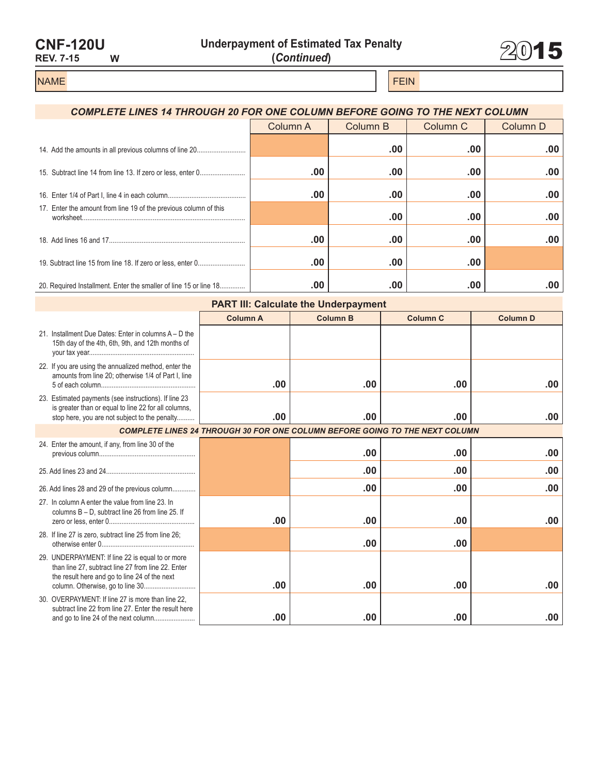| <b>CNF-120U</b>  |   |
|------------------|---|
| <b>REV. 7-15</b> | W |



## NAME FEIN AND RESERVE THE SERVE THAT IS A REPORT OF THE SERVE THAT IS A REPORT OF THE SERVE THAT IS A REPORT OF THE SERVE THAT IS A REPORT OF THE SERVE THAT IS A REPORT OF THE SERVE THAT IS A REPORT OF THE SERVE THAT IS A

## *COMPLETE LINES 14 THROUGH 20 FOR ONE COLUMN BEFORE GOING TO THE NEXT COLUMN* Column A Column B Column C Column D 14. Add the amounts in all previous columns of line 20........................... **.00 .00 .00** 15. Subtract line 14 from line 13. If zero or less, enter 0......................... **.00 .00 .00 .00** 16. Enter 1/4 of Part I, line 4 in each column........................................... **.00 .00 .00 .00** 17. Enter the amount from line 19 of the previous column of this worksheet.......................................................................................... **.00 .00 .00** 18. Add lines 16 and 17........................................................................... **.00 .00 .00 .00** 19. Subtract line 15 from line 18. If zero or less, enter 0.......................... **.00 .00 .00** 20. Required Installment. Enter the smaller of line 15 or line 18.............. **.00 .00 .00 .00**

| <b>PART III: Calculate the Underpayment</b>                                                                                                                    |                 |                 |                 |                 |  |  |  |  |
|----------------------------------------------------------------------------------------------------------------------------------------------------------------|-----------------|-----------------|-----------------|-----------------|--|--|--|--|
|                                                                                                                                                                | <b>Column A</b> | <b>Column B</b> | <b>Column C</b> | <b>Column D</b> |  |  |  |  |
| 21. Installment Due Dates: Enter in columns A - D the<br>15th day of the 4th, 6th, 9th, and 12th months of                                                     |                 |                 |                 |                 |  |  |  |  |
| 22. If you are using the annualized method, enter the<br>amounts from line 20; otherwise 1/4 of Part I, line                                                   | .00             | .00             | .00.            | .00             |  |  |  |  |
| 23. Estimated payments (see instructions). If line 23<br>is greater than or equal to line 22 for all columns,<br>stop here, you are not subject to the penalty | .00             | .00             | .00             | .00             |  |  |  |  |
| <b>COMPLETE LINES 24 THROUGH 30 FOR ONE COLUMN BEFORE GOING TO THE NEXT COLUMN</b>                                                                             |                 |                 |                 |                 |  |  |  |  |
| 24. Enter the amount, if any, from line 30 of the                                                                                                              |                 | .00             | .00             | .00             |  |  |  |  |
|                                                                                                                                                                |                 | .00             | .00             | .00             |  |  |  |  |
| 26. Add lines 28 and 29 of the previous column                                                                                                                 |                 | .00             | .00             | .00             |  |  |  |  |
| 27. In column A enter the value from line 23. In<br>columns B - D, subtract line 26 from line 25. If                                                           | .00             | .00             | .00             | .00             |  |  |  |  |
| 28. If line 27 is zero, subtract line 25 from line 26.                                                                                                         |                 | .00             | .00             |                 |  |  |  |  |
| 29. UNDERPAYMENT: If line 22 is equal to or more<br>than line 27, subtract line 27 from line 22. Enter<br>the result here and go to line 24 of the next        | .00             | .00             | .00             | .00             |  |  |  |  |
| 30. OVERPAYMENT: If line 27 is more than line 22.<br>subtract line 22 from line 27. Enter the result here                                                      | .00             | .00             | .00             | .00             |  |  |  |  |